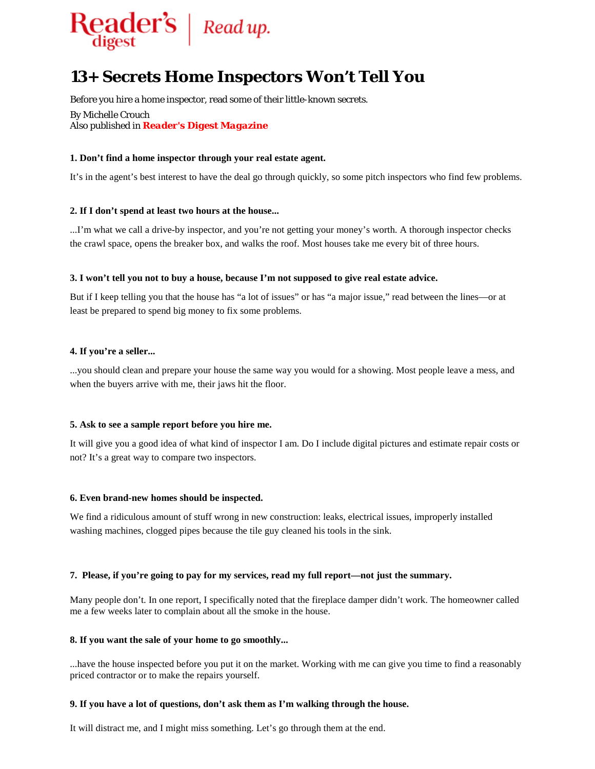

# **13+ Secrets Home Inspectors Won't Tell You**

Before you hire a home inspector, read some of their little-known secrets.

By Michelle Crouch Also published in *Reader's Digest Magazine*

## **1. Don't find a home inspector through your real estate agent.**

It's in the agent's best interest to have the deal go through quickly, so some pitch inspectors who find few problems.

## **2. If I don't spend at least two hours at the house...**

...I'm what we call a drive-by inspector, and you're not getting your money's worth. A thorough inspector checks the crawl space, opens the breaker box, and walks the roof. Most houses take me every bit of three hours.

## **3. I won't tell you not to buy a house, because I'm not supposed to give real estate advice.**

But if I keep telling you that the house has "a lot of issues" or has "a major issue," read between the lines—or at least be prepared to spend big money to fix some problems.

#### **4. If you're a seller...**

...you should clean and prepare your house the same way you would for a showing. Most people leave a mess, and when the buyers arrive with me, their jaws hit the floor.

#### **5. Ask to see a sample report before you hire me.**

It will give you a good idea of what kind of inspector I am. Do I include digital pictures and estimate repair costs or not? It's a great way to compare two inspectors.

#### **6. Even brand-new homes should be inspected.**

We find a ridiculous amount of stuff wrong in new construction: leaks, electrical issues, improperly installed washing machines, clogged pipes because the tile guy cleaned his tools in the sink.

#### **7. Please, if you're going to pay for my services, read my full report—not just the summary.**

Many people don't. In one report, I specifically noted that the fireplace damper didn't work. The homeowner called me a few weeks later to complain about all the smoke in the house.

#### **8. If you want the sale of your home to go smoothly...**

...have the house inspected before you put it on the market. Working with me can give you time to find a reasonably priced contractor or to make the repairs yourself.

#### **9. If you have a lot of questions, don't ask them as I'm walking through the house.**

It will distract me, and I might miss something. Let's go through them at the end.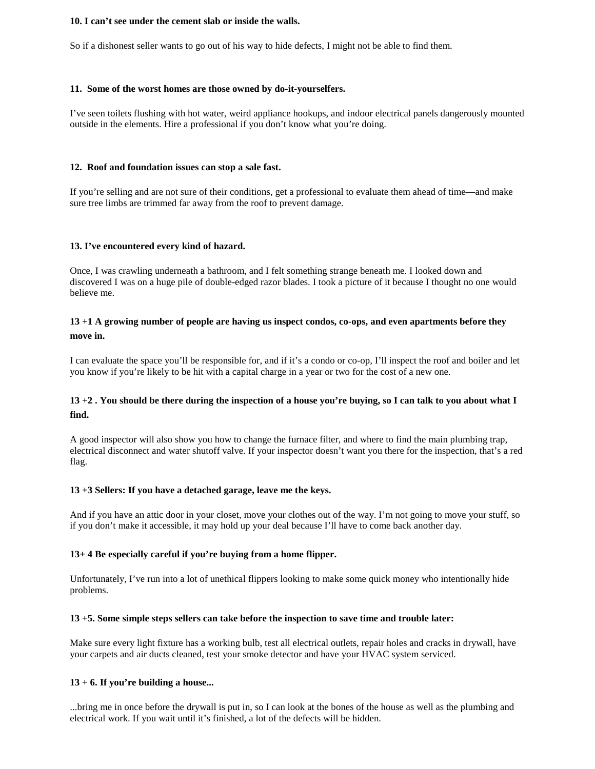#### **10. I can't see under the cement slab or inside the walls.**

So if a dishonest seller wants to go out of his way to hide defects, I might not be able to find them.

## **11. Some of the worst homes are those owned by do-it-yourselfers.**

I've seen toilets flushing with hot water, weird appliance hookups, and indoor electrical panels dangerously mounted outside in the elements. Hire a professional if you don't know what you're doing.

## **12. Roof and foundation issues can stop a sale fast.**

If you're selling and are not sure of their conditions, get a professional to evaluate them ahead of time—and make sure tree limbs are trimmed far away from the roof to prevent damage.

## **13. I've encountered every kind of hazard.**

Once, I was crawling underneath a bathroom, and I felt something strange beneath me. I looked down and discovered I was on a huge pile of double-edged razor blades. I took a picture of it because I thought no one would believe me.

## **13 +1 A growing number of people are having us inspect condos, co-ops, and even apartments before they move in.**

I can evaluate the space you'll be responsible for, and if it's a condo or co-op, I'll inspect the roof and boiler and let you know if you're likely to be hit with a capital charge in a year or two for the cost of a new one.

## **13 +2 . You should be there during the inspection of a house you're buying, so I can talk to you about what I find.**

A good inspector will also show you how to change the furnace filter, and where to find the main plumbing trap, electrical disconnect and water shutoff valve. If your inspector doesn't want you there for the inspection, that's a red flag.

## **13 +3 Sellers: If you have a detached garage, leave me the keys.**

And if you have an attic door in your closet, move your clothes out of the way. I'm not going to move your stuff, so if you don't make it accessible, it may hold up your deal because I'll have to come back another day.

## **13+ 4 Be especially careful if you're buying from a home flipper.**

Unfortunately, I've run into a lot of unethical flippers looking to make some quick money who intentionally hide problems.

## **13 +5. Some simple steps sellers can take before the inspection to save time and trouble later:**

Make sure every light fixture has a working bulb, test all electrical outlets, repair holes and cracks in drywall, have your carpets and air ducts cleaned, test your smoke detector and have your HVAC system serviced.

## **13 + 6. If you're building a house...**

...bring me in once before the drywall is put in, so I can look at the bones of the house as well as the plumbing and electrical work. If you wait until it's finished, a lot of the defects will be hidden.